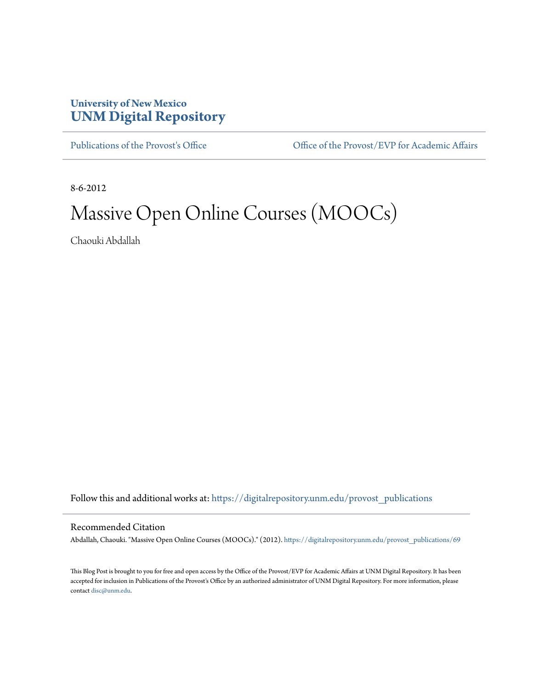### **University of New Mexico [UNM Digital Repository](https://digitalrepository.unm.edu?utm_source=digitalrepository.unm.edu%2Fprovost_publications%2F69&utm_medium=PDF&utm_campaign=PDFCoverPages)**

[Publications of the Provost's Office](https://digitalrepository.unm.edu/provost_publications?utm_source=digitalrepository.unm.edu%2Fprovost_publications%2F69&utm_medium=PDF&utm_campaign=PDFCoverPages) **Office Office of the Provost/EVP** for Academic Affairs

8-6-2012

## Massive Open Online Courses (MOOCs)

Chaouki Abdallah

Follow this and additional works at: [https://digitalrepository.unm.edu/provost\\_publications](https://digitalrepository.unm.edu/provost_publications?utm_source=digitalrepository.unm.edu%2Fprovost_publications%2F69&utm_medium=PDF&utm_campaign=PDFCoverPages)

#### Recommended Citation

Abdallah, Chaouki. "Massive Open Online Courses (MOOCs)." (2012). [https://digitalrepository.unm.edu/provost\\_publications/69](https://digitalrepository.unm.edu/provost_publications/69?utm_source=digitalrepository.unm.edu%2Fprovost_publications%2F69&utm_medium=PDF&utm_campaign=PDFCoverPages)

This Blog Post is brought to you for free and open access by the Office of the Provost/EVP for Academic Affairs at UNM Digital Repository. It has been accepted for inclusion in Publications of the Provost's Office by an authorized administrator of UNM Digital Repository. For more information, please contact [disc@unm.edu.](mailto:disc@unm.edu)